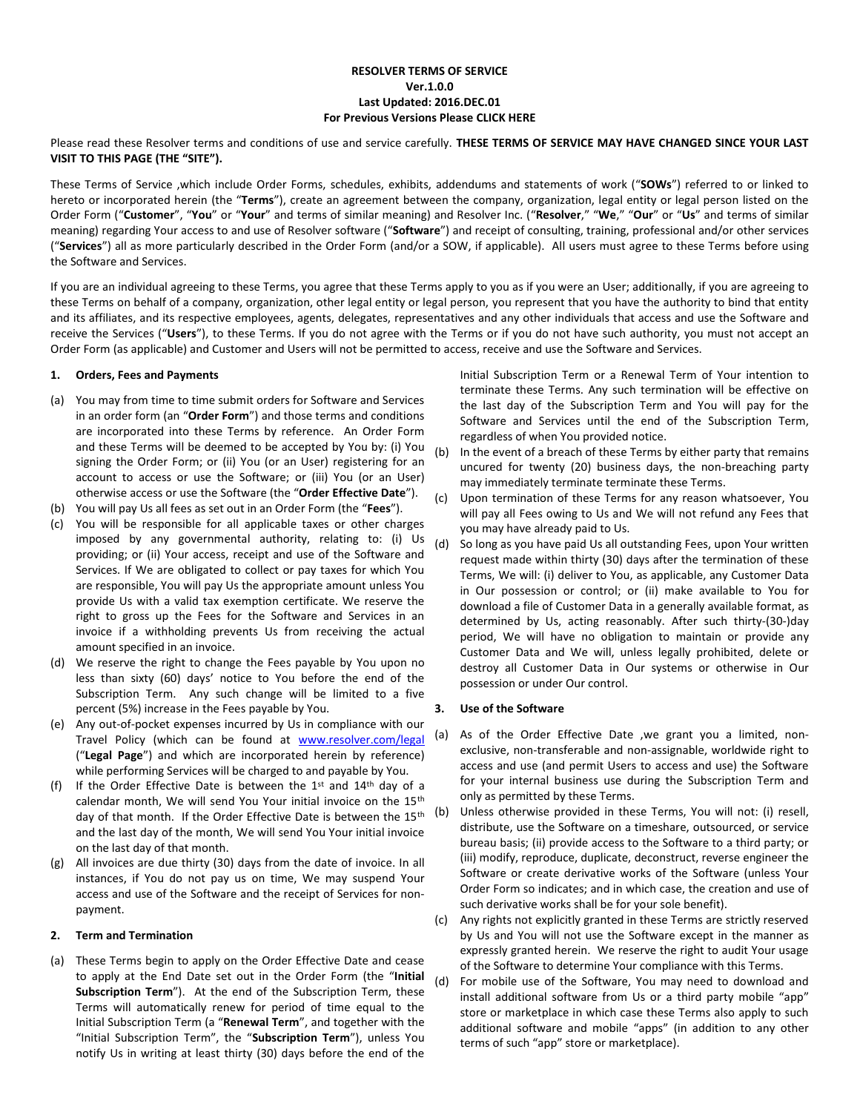## **RESOLVER TERMS OF SERVICE Ver.1.0.0 Last Updated: 2016.DEC.01 For Previous Versions Please CLICK HERE**

Please read these Resolver terms and conditions of use and service carefully. **THESE TERMS OF SERVICE MAY HAVE CHANGED SINCE YOUR LAST VISIT TO THIS PAGE (THE "SITE").**

These Terms of Service ,which include Order Forms, schedules, exhibits, addendums and statements of work ("**SOWs**") referred to or linked to hereto or incorporated herein (the "**Terms**"), create an agreement between the company, organization, legal entity or legal person listed on the Order Form ("**Customer**", "**You**" or "**Your**" and terms of similar meaning) and Resolver Inc. ("**Resolver**," "**We**," "**Our**" or "**Us**" and terms of similar meaning) regarding Your access to and use of Resolver software ("**Software**") and receipt of consulting, training, professional and/or other services ("**Services**") all as more particularly described in the Order Form (and/or a SOW, if applicable). All users must agree to these Terms before using the Software and Services.

If you are an individual agreeing to these Terms, you agree that these Terms apply to you as if you were an User; additionally, if you are agreeing to these Terms on behalf of a company, organization, other legal entity or legal person, you represent that you have the authority to bind that entity and its affiliates, and its respective employees, agents, delegates, representatives and any other individuals that access and use the Software and receive the Services ("**Users**"), to these Terms. If you do not agree with the Terms or if you do not have such authority, you must not accept an Order Form (as applicable) and Customer and Users will not be permitted to access, receive and use the Software and Services.

## **1. Orders, Fees and Payments**

- (a) You may from time to time submit orders for Software and Services in an order form (an "**Order Form**") and those terms and conditions are incorporated into these Terms by reference. An Order Form and these Terms will be deemed to be accepted by You by: (i) You signing the Order Form; or (ii) You (or an User) registering for an account to access or use the Software; or (iii) You (or an User) otherwise access or use the Software (the "**Order Effective Date**").
- (b) You will pay Us all fees as set out in an Order Form (the "**Fees**").
- (c) You will be responsible for all applicable taxes or other charges imposed by any governmental authority, relating to: (i) Us providing; or (ii) Your access, receipt and use of the Software and Services. If We are obligated to collect or pay taxes for which You are responsible, You will pay Us the appropriate amount unless You provide Us with a valid tax exemption certificate. We reserve the right to gross up the Fees for the Software and Services in an invoice if a withholding prevents Us from receiving the actual amount specified in an invoice.
- (d) We reserve the right to change the Fees payable by You upon no less than sixty (60) days' notice to You before the end of the Subscription Term. Any such change will be limited to a five percent (5%) increase in the Fees payable by You.
- (e) Any out-of-pocket expenses incurred by Us in compliance with our Travel Policy (which can be found at [www.resolver.com/legal](http://www.resolver.com/legal) ("**Legal Page**") and which are incorporated herein by reference) while performing Services will be charged to and payable by You.
- (f) If the Order Effective Date is between the  $1<sup>st</sup>$  and  $14<sup>th</sup>$  day of a calendar month, We will send You Your initial invoice on the 15th day of that month. If the Order Effective Date is between the  $15^{th}$  (b) and the last day of the month, We will send You Your initial invoice on the last day of that month.
- (g) All invoices are due thirty (30) days from the date of invoice. In all instances, if You do not pay us on time, We may suspend Your access and use of the Software and the receipt of Services for nonpayment.

# **2. Term and Termination**

(a) These Terms begin to apply on the Order Effective Date and cease to apply at the End Date set out in the Order Form (the "**Initial Subscription Term**"). At the end of the Subscription Term, these Terms will automatically renew for period of time equal to the Initial Subscription Term (a "**Renewal Term**", and together with the "Initial Subscription Term", the "**Subscription Term**"), unless You notify Us in writing at least thirty (30) days before the end of the

Initial Subscription Term or a Renewal Term of Your intention to terminate these Terms. Any such termination will be effective on the last day of the Subscription Term and You will pay for the Software and Services until the end of the Subscription Term, regardless of when You provided notice.

- (b) In the event of a breach of these Terms by either party that remains uncured for twenty (20) business days, the non-breaching party may immediately terminate terminate these Terms.
- (c) Upon termination of these Terms for any reason whatsoever, You will pay all Fees owing to Us and We will not refund any Fees that you may have already paid to Us.
- (d) So long as you have paid Us all outstanding Fees, upon Your written request made within thirty (30) days after the termination of these Terms, We will: (i) deliver to You, as applicable, any Customer Data in Our possession or control; or (ii) make available to You for download a file of Customer Data in a generally available format, as determined by Us, acting reasonably. After such thirty-(30-)day period, We will have no obligation to maintain or provide any Customer Data and We will, unless legally prohibited, delete or destroy all Customer Data in Our systems or otherwise in Our possession or under Our control.

#### **3. Use of the Software**

- (a) As of the Order Effective Date ,we grant you a limited, nonexclusive, non-transferable and non-assignable, worldwide right to access and use (and permit Users to access and use) the Software for your internal business use during the Subscription Term and only as permitted by these Terms.
- Unless otherwise provided in these Terms, You will not: (i) resell, distribute, use the Software on a timeshare, outsourced, or service bureau basis; (ii) provide access to the Software to a third party; or (iii) modify, reproduce, duplicate, deconstruct, reverse engineer the Software or create derivative works of the Software (unless Your Order Form so indicates; and in which case, the creation and use of such derivative works shall be for your sole benefit).
- (c) Any rights not explicitly granted in these Terms are strictly reserved by Us and You will not use the Software except in the manner as expressly granted herein. We reserve the right to audit Your usage of the Software to determine Your compliance with this Terms.
- (d) For mobile use of the Software, You may need to download and install additional software from Us or a third party mobile "app" store or marketplace in which case these Terms also apply to such additional software and mobile "apps" (in addition to any other terms of such "app" store or marketplace).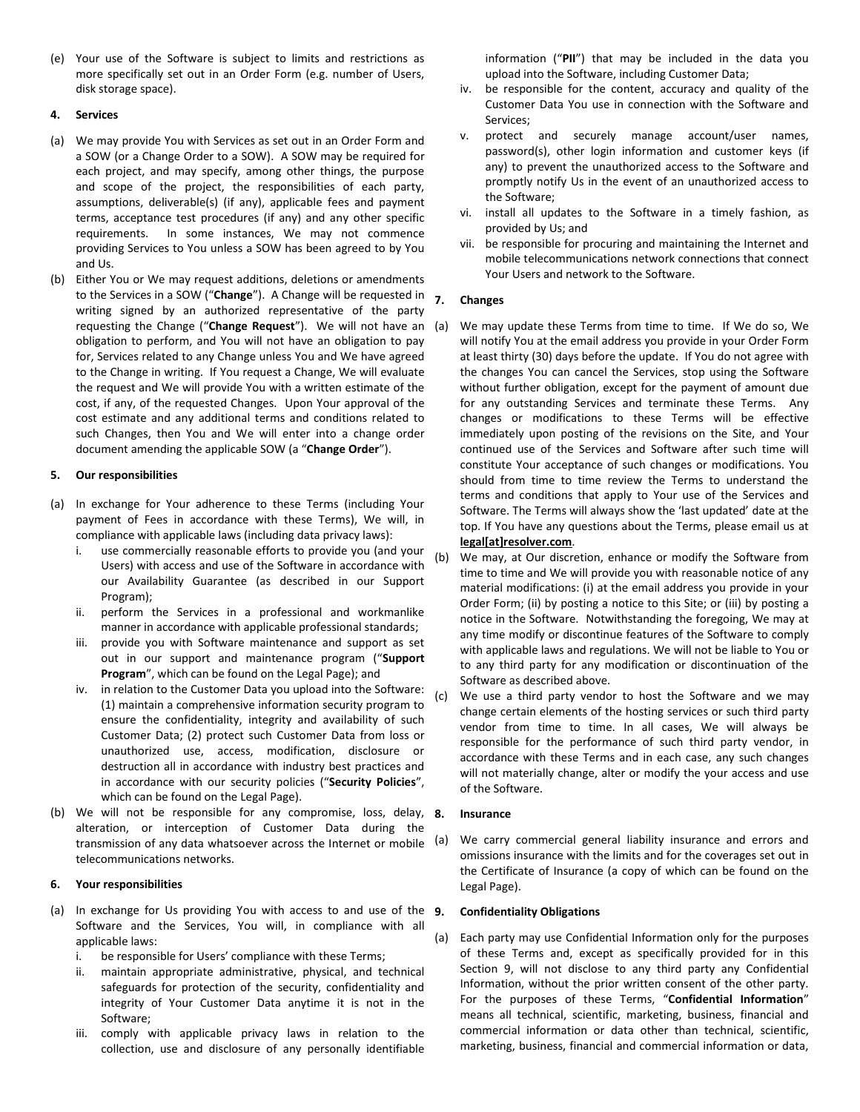(e) Your use of the Software is subject to limits and restrictions as more specifically set out in an Order Form (e.g. number of Users, disk storage space).

## **4. Services**

- (a) We may provide You with Services as set out in an Order Form and a SOW (or a Change Order to a SOW). A SOW may be required for each project, and may specify, among other things, the purpose and scope of the project, the responsibilities of each party, assumptions, deliverable(s) (if any), applicable fees and payment terms, acceptance test procedures (if any) and any other specific requirements. In some instances, We may not commence providing Services to You unless a SOW has been agreed to by You and Us.
- (b) Either You or We may request additions, deletions or amendments to the Services in a SOW ("**Change**"). A Change will be requested in writing signed by an authorized representative of the party requesting the Change ("**Change Request**"). We will not have an obligation to perform, and You will not have an obligation to pay for, Services related to any Change unless You and We have agreed to the Change in writing. If You request a Change, We will evaluate the request and We will provide You with a written estimate of the cost, if any, of the requested Changes. Upon Your approval of the cost estimate and any additional terms and conditions related to such Changes, then You and We will enter into a change order document amending the applicable SOW (a "**Change Order**").

# **5. Our responsibilities**

- (a) In exchange for Your adherence to these Terms (including Your payment of Fees in accordance with these Terms), We will, in compliance with applicable laws (including data privacy laws):
	- i. use commercially reasonable efforts to provide you (and your Users) with access and use of the Software in accordance with our Availability Guarantee (as described in our Support Program);
	- ii. perform the Services in a professional and workmanlike manner in accordance with applicable professional standards;
	- iii. provide you with Software maintenance and support as set out in our support and maintenance program ("**Support Program**", which can be found on the Legal Page); and
	- iv. in relation to the Customer Data you upload into the Software: (1) maintain a comprehensive information security program to ensure the confidentiality, integrity and availability of such Customer Data; (2) protect such Customer Data from loss or unauthorized use, access, modification, disclosure or destruction all in accordance with industry best practices and in accordance with our security policies ("**Security Policies**", which can be found on the Legal Page).
- (b) We will not be responsible for any compromise, loss, delay,  $8$ . alteration, or interception of Customer Data during the transmission of any data whatsoever across the Internet or mobile telecommunications networks.

# **6. Your responsibilities**

- (a) In exchange for Us providing You with access to and use of the 9. Software and the Services, You will, in compliance with all applicable laws:
	- i. be responsible for Users' compliance with these Terms;
	- ii. maintain appropriate administrative, physical, and technical safeguards for protection of the security, confidentiality and integrity of Your Customer Data anytime it is not in the Software;
	- iii. comply with applicable privacy laws in relation to the collection, use and disclosure of any personally identifiable

information ("**PII**") that may be included in the data you upload into the Software, including Customer Data;

- iv. be responsible for the content, accuracy and quality of the Customer Data You use in connection with the Software and Services;
- v. protect and securely manage account/user names, password(s), other login information and customer keys (if any) to prevent the unauthorized access to the Software and promptly notify Us in the event of an unauthorized access to the Software;
- vi. install all updates to the Software in a timely fashion, as provided by Us; and
- vii. be responsible for procuring and maintaining the Internet and mobile telecommunications network connections that connect Your Users and network to the Software.

## **7. Changes**

- We may update these Terms from time to time. If We do so, We will notify You at the email address you provide in your Order Form at least thirty (30) days before the update. If You do not agree with the changes You can cancel the Services, stop using the Software without further obligation, except for the payment of amount due for any outstanding Services and terminate these Terms. Any changes or modifications to these Terms will be effective immediately upon posting of the revisions on the Site, and Your continued use of the Services and Software after such time will constitute Your acceptance of such changes or modifications. You should from time to time review the Terms to understand the terms and conditions that apply to Your use of the Services and Software. The Terms will always show the 'last updated' date at the top. If You have any questions about the Terms, please email us at **legal[at]resolver.com**.
- (b) We may, at Our discretion, enhance or modify the Software from time to time and We will provide you with reasonable notice of any material modifications: (i) at the email address you provide in your Order Form; (ii) by posting a notice to this Site; or (iii) by posting a notice in the Software. Notwithstanding the foregoing, We may at any time modify or discontinue features of the Software to comply with applicable laws and regulations. We will not be liable to You or to any third party for any modification or discontinuation of the Software as described above.
- (c) We use a third party vendor to host the Software and we may change certain elements of the hosting services or such third party vendor from time to time. In all cases, We will always be responsible for the performance of such third party vendor, in accordance with these Terms and in each case, any such changes will not materially change, alter or modify the your access and use of the Software.

# **8. Insurance**

We carry commercial general liability insurance and errors and omissions insurance with the limits and for the coverages set out in the Certificate of Insurance (a copy of which can be found on the Legal Page).

# <span id="page-1-0"></span>**9. Confidentiality Obligations**

(a) Each party may use Confidential Information only for the purposes of these Terms and, except as specifically provided for in this Section [9,](#page-1-0) will not disclose to any third party any Confidential Information, without the prior written consent of the other party. For the purposes of these Terms, "**Confidential Information**" means all technical, scientific, marketing, business, financial and commercial information or data other than technical, scientific, marketing, business, financial and commercial information or data,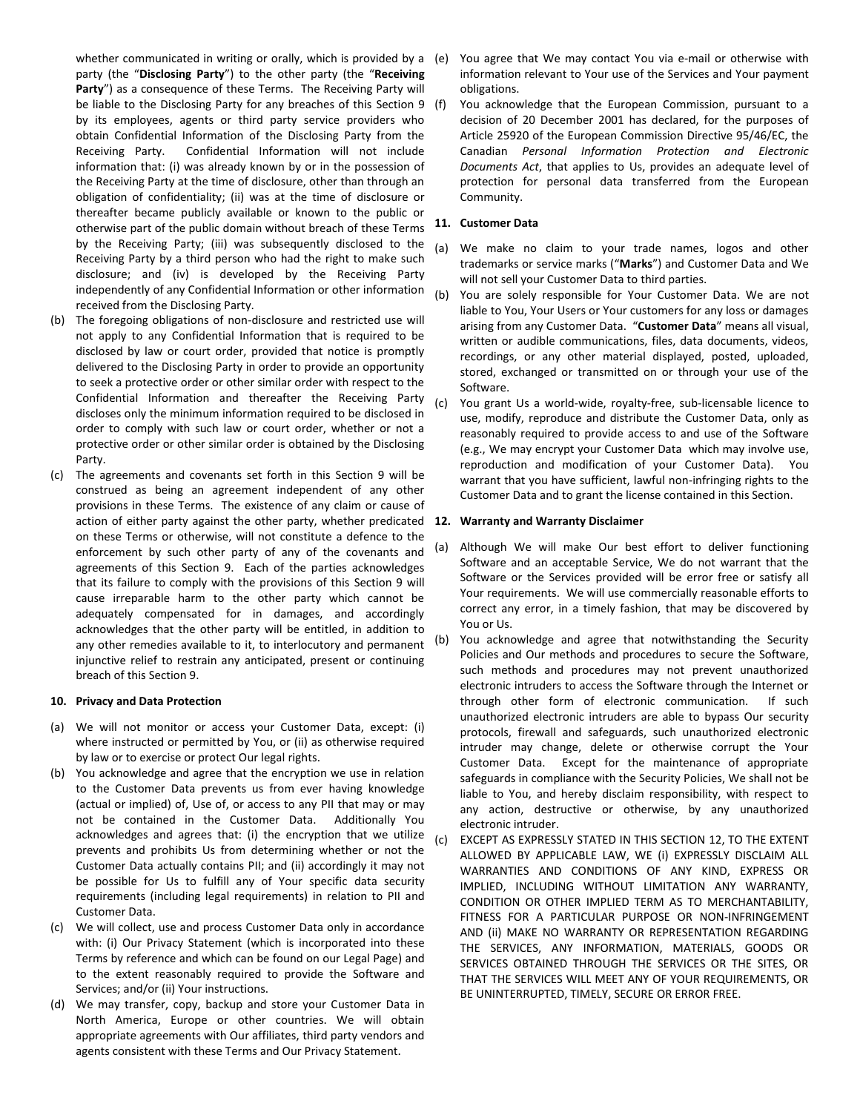whether communicated in writing or orally, which is provided by a (e) party (the "**Disclosing Party**") to the other party (the "**Receiving**  Party") as a consequence of these Terms. The Receiving Party will be liable to the Disclosing Party for any breaches of this Section [9](#page-1-0) (f) by its employees, agents or third party service providers who obtain Confidential Information of the Disclosing Party from the Receiving Party. Confidential Information will not include information that: (i) was already known by or in the possession of the Receiving Party at the time of disclosure, other than through an obligation of confidentiality; (ii) was at the time of disclosure or thereafter became publicly available or known to the public or otherwise part of the public domain without breach of these Terms by the Receiving Party; (iii) was subsequently disclosed to the Receiving Party by a third person who had the right to make such disclosure; and (iv) is developed by the Receiving Party independently of any Confidential Information or other information received from the Disclosing Party.

- (b) The foregoing obligations of non-disclosure and restricted use will not apply to any Confidential Information that is required to be disclosed by law or court order, provided that notice is promptly delivered to the Disclosing Party in order to provide an opportunity to seek a protective order or other similar order with respect to the Confidential Information and thereafter the Receiving Party discloses only the minimum information required to be disclosed in order to comply with such law or court order, whether or not a protective order or other similar order is obtained by the Disclosing Party.
- (c) The agreements and covenants set forth in this Section [9](#page-1-0) will be construed as being an agreement independent of any other provisions in these Terms. The existence of any claim or cause of action of either party against the other party, whether predicated **12. Warranty and Warranty Disclaimer** on these Terms or otherwise, will not constitute a defence to the enforcement by such other party of any of the covenants and agreements of this Section [9.](#page-1-0) Each of the parties acknowledges that its failure to comply with the provisions of this Section [9](#page-1-0) will cause irreparable harm to the other party which cannot be adequately compensated for in damages, and accordingly acknowledges that the other party will be entitled, in addition to any other remedies available to it, to interlocutory and permanent injunctive relief to restrain any anticipated, present or continuing breach of this Sectio[n 9.](#page-1-0)

## **10. Privacy and Data Protection**

- (a) We will not monitor or access your Customer Data, except: (i) where instructed or permitted by You, or (ii) as otherwise required by law or to exercise or protect Our legal rights.
- (b) You acknowledge and agree that the encryption we use in relation to the Customer Data prevents us from ever having knowledge (actual or implied) of, Use of, or access to any PII that may or may not be contained in the Customer Data. Additionally You acknowledges and agrees that: (i) the encryption that we utilize prevents and prohibits Us from determining whether or not the Customer Data actually contains PII; and (ii) accordingly it may not be possible for Us to fulfill any of Your specific data security requirements (including legal requirements) in relation to PII and Customer Data.
- (c) We will collect, use and process Customer Data only in accordance with: (i) Our Privacy Statement (which is incorporated into these Terms by reference and which can be found on our Legal Page) and to the extent reasonably required to provide the Software and Services; and/or (ii) Your instructions.
- (d) We may transfer, copy, backup and store your Customer Data in North America, Europe or other countries. We will obtain appropriate agreements with Our affiliates, third party vendors and agents consistent with these Terms and Our Privacy Statement.
- You agree that We may contact You via e-mail or otherwise with information relevant to Your use of the Services and Your payment obligations.
- You acknowledge that the European Commission, pursuant to a decision of 20 December 2001 has declared, for the purposes of Article 25920 of the European Commission Directive 95/46/EC, the Canadian *Personal Information Protection and Electronic Documents Act*, that applies to Us, provides an adequate level of protection for personal data transferred from the European Community.

# **11. Customer Data**

- (a) We make no claim to your trade names, logos and other trademarks or service marks ("**Marks**") and Customer Data and We will not sell your Customer Data to third parties.
- (b) You are solely responsible for Your Customer Data. We are not liable to You, Your Users or Your customers for any loss or damages arising from any Customer Data. "**Customer Data**" means all visual, written or audible communications, files, data documents, videos, recordings, or any other material displayed, posted, uploaded, stored, exchanged or transmitted on or through your use of the Software.
- (c) You grant Us a world-wide, royalty-free, sub-licensable licence to use, modify, reproduce and distribute the Customer Data, only as reasonably required to provide access to and use of the Software (e.g., We may encrypt your Customer Data which may involve use, reproduction and modification of your Customer Data). You warrant that you have sufficient, lawful non-infringing rights to the Customer Data and to grant the license contained in this Section.

- <span id="page-2-0"></span>Although We will make Our best effort to deliver functioning Software and an acceptable Service, We do not warrant that the Software or the Services provided will be error free or satisfy all Your requirements. We will use commercially reasonable efforts to correct any error, in a timely fashion, that may be discovered by You or Us.
- (b) You acknowledge and agree that notwithstanding the Security Policies and Our methods and procedures to secure the Software, such methods and procedures may not prevent unauthorized electronic intruders to access the Software through the Internet or through other form of electronic communication. If such unauthorized electronic intruders are able to bypass Our security protocols, firewall and safeguards, such unauthorized electronic intruder may change, delete or otherwise corrupt the Your Customer Data. Except for the maintenance of appropriate safeguards in compliance with the Security Policies, We shall not be liable to You, and hereby disclaim responsibility, with respect to any action, destructive or otherwise, by any unauthorized electronic intruder.
- (c) EXCEPT AS EXPRESSLY STATED IN THIS SECTIO[N 12,](#page-2-0) TO THE EXTENT ALLOWED BY APPLICABLE LAW, WE (i) EXPRESSLY DISCLAIM ALL WARRANTIES AND CONDITIONS OF ANY KIND, EXPRESS OR IMPLIED, INCLUDING WITHOUT LIMITATION ANY WARRANTY, CONDITION OR OTHER IMPLIED TERM AS TO MERCHANTABILITY, FITNESS FOR A PARTICULAR PURPOSE OR NON-INFRINGEMENT AND (ii) MAKE NO WARRANTY OR REPRESENTATION REGARDING THE SERVICES, ANY INFORMATION, MATERIALS, GOODS OR SERVICES OBTAINED THROUGH THE SERVICES OR THE SITES, OR THAT THE SERVICES WILL MEET ANY OF YOUR REQUIREMENTS, OR BE UNINTERRUPTED, TIMELY, SECURE OR ERROR FREE.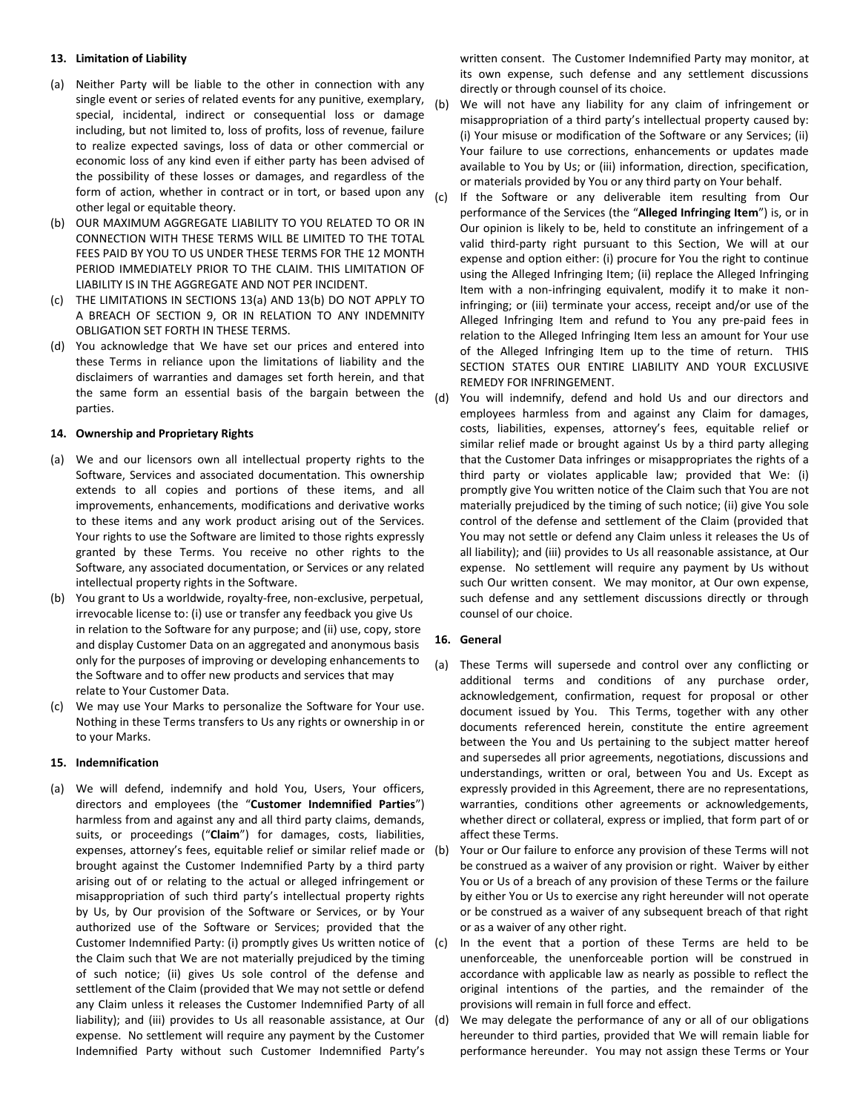#### **13. Limitation of Liability**

- <span id="page-3-0"></span>(a) Neither Party will be liable to the other in connection with any single event or series of related events for any punitive, exemplary, special, incidental, indirect or consequential loss or damage including, but not limited to, loss of profits, loss of revenue, failure to realize expected savings, loss of data or other commercial or economic loss of any kind even if either party has been advised of the possibility of these losses or damages, and regardless of the form of action, whether in contract or in tort, or based upon any other legal or equitable theory.
- <span id="page-3-1"></span>(b) OUR MAXIMUM AGGREGATE LIABILITY TO YOU RELATED TO OR IN CONNECTION WITH THESE TERMS WILL BE LIMITED TO THE TOTAL FEES PAID BY YOU TO US UNDER THESE TERMS FOR THE 12 MONTH PERIOD IMMEDIATELY PRIOR TO THE CLAIM. THIS LIMITATION OF LIABILITY IS IN THE AGGREGATE AND NOT PER INCIDENT.
- (c) THE LIMITATIONS IN SECTIONS [13\(a\)](#page-3-0) AND [13\(b\)](#page-3-1) DO NOT APPLY TO A BREACH OF SECTION [9,](#page-1-0) OR IN RELATION TO ANY INDEMNITY OBLIGATION SET FORTH IN THESE TERMS.
- (d) You acknowledge that We have set our prices and entered into these Terms in reliance upon the limitations of liability and the disclaimers of warranties and damages set forth herein, and that the same form an essential basis of the bargain between the parties.

#### **14. Ownership and Proprietary Rights**

- (a) We and our licensors own all intellectual property rights to the Software, Services and associated documentation. This ownership extends to all copies and portions of these items, and all improvements, enhancements, modifications and derivative works to these items and any work product arising out of the Services. Your rights to use the Software are limited to those rights expressly granted by these Terms. You receive no other rights to the Software, any associated documentation, or Services or any related intellectual property rights in the Software.
- (b) You grant to Us a worldwide, royalty-free, non-exclusive, perpetual, irrevocable license to: (i) use or transfer any feedback you give Us in relation to the Software for any purpose; and (ii) use, copy, store and display Customer Data on an aggregated and anonymous basis only for the purposes of improving or developing enhancements to the Software and to offer new products and services that may relate to Your Customer Data.
- (c) We may use Your Marks to personalize the Software for Your use. Nothing in these Terms transfers to Us any rights or ownership in or to your Marks.

#### **15. Indemnification**

(a) We will defend, indemnify and hold You, Users, Your officers, directors and employees (the "**Customer Indemnified Parties**") harmless from and against any and all third party claims, demands, suits, or proceedings ("**Claim**") for damages, costs, liabilities, expenses, attorney's fees, equitable relief or similar relief made or brought against the Customer Indemnified Party by a third party arising out of or relating to the actual or alleged infringement or misappropriation of such third party's intellectual property rights by Us, by Our provision of the Software or Services, or by Your authorized use of the Software or Services; provided that the Customer Indemnified Party: (i) promptly gives Us written notice of the Claim such that We are not materially prejudiced by the timing of such notice; (ii) gives Us sole control of the defense and settlement of the Claim (provided that We may not settle or defend any Claim unless it releases the Customer Indemnified Party of all liability); and (iii) provides to Us all reasonable assistance, at Our (d) expense. No settlement will require any payment by the Customer Indemnified Party without such Customer Indemnified Party's

written consent. The Customer Indemnified Party may monitor, at its own expense, such defense and any settlement discussions directly or through counsel of its choice.

- (b) We will not have any liability for any claim of infringement or misappropriation of a third party's intellectual property caused by: (i) Your misuse or modification of the Software or any Services; (ii) Your failure to use corrections, enhancements or updates made available to You by Us; or (iii) information, direction, specification, or materials provided by You or any third party on Your behalf.
- (c) If the Software or any deliverable item resulting from Our performance of the Services (the "**Alleged Infringing Item**") is, or in Our opinion is likely to be, held to constitute an infringement of a valid third-party right pursuant to this Section, We will at our expense and option either: (i) procure for You the right to continue using the Alleged Infringing Item; (ii) replace the Alleged Infringing Item with a non-infringing equivalent, modify it to make it noninfringing; or (iii) terminate your access, receipt and/or use of the Alleged Infringing Item and refund to You any pre-paid fees in relation to the Alleged Infringing Item less an amount for Your use of the Alleged Infringing Item up to the time of return. THIS SECTION STATES OUR ENTIRE LIABILITY AND YOUR EXCLUSIVE REMEDY FOR INFRINGEMENT.
- (d) You will indemnify, defend and hold Us and our directors and employees harmless from and against any Claim for damages, costs, liabilities, expenses, attorney's fees, equitable relief or similar relief made or brought against Us by a third party alleging that the Customer Data infringes or misappropriates the rights of a third party or violates applicable law; provided that We: (i) promptly give You written notice of the Claim such that You are not materially prejudiced by the timing of such notice; (ii) give You sole control of the defense and settlement of the Claim (provided that You may not settle or defend any Claim unless it releases the Us of all liability); and (iii) provides to Us all reasonable assistance, at Our expense. No settlement will require any payment by Us without such Our written consent. We may monitor, at Our own expense, such defense and any settlement discussions directly or through counsel of our choice.

## **16. General**

- (a) These Terms will supersede and control over any conflicting or additional terms and conditions of any purchase order, acknowledgement, confirmation, request for proposal or other document issued by You. This Terms, together with any other documents referenced herein, constitute the entire agreement between the You and Us pertaining to the subject matter hereof and supersedes all prior agreements, negotiations, discussions and understandings, written or oral, between You and Us. Except as expressly provided in this Agreement, there are no representations, warranties, conditions other agreements or acknowledgements, whether direct or collateral, express or implied, that form part of or affect these Terms.
- Your or Our failure to enforce any provision of these Terms will not be construed as a waiver of any provision or right. Waiver by either You or Us of a breach of any provision of these Terms or the failure by either You or Us to exercise any right hereunder will not operate or be construed as a waiver of any subsequent breach of that right or as a waiver of any other right.
- In the event that a portion of these Terms are held to be unenforceable, the unenforceable portion will be construed in accordance with applicable law as nearly as possible to reflect the original intentions of the parties, and the remainder of the provisions will remain in full force and effect.
- We may delegate the performance of any or all of our obligations hereunder to third parties, provided that We will remain liable for performance hereunder. You may not assign these Terms or Your